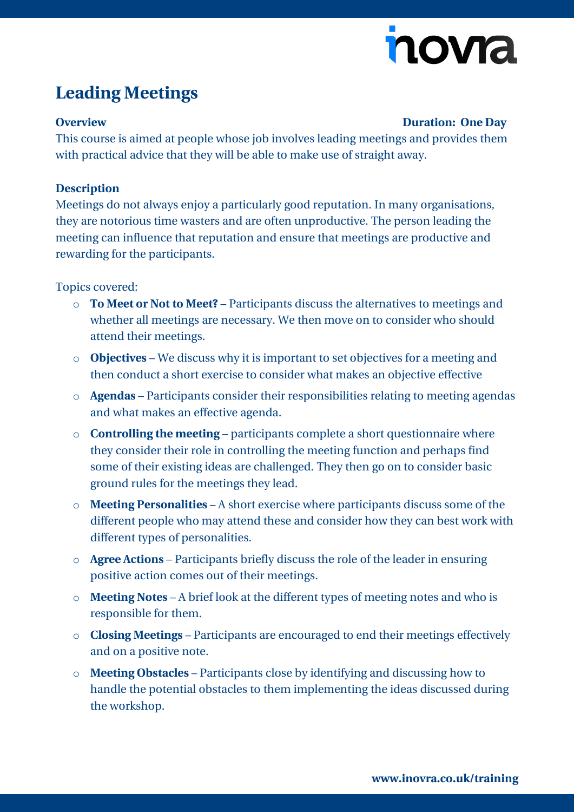# novia

### **Leading Meetings**

#### **Overview Duration: One Day**

This course is aimed at people whose job involves leading meetings and provides them with practical advice that they will be able to make use of straight away.

#### **Description**

Meetings do not always enjoy a particularly good reputation. In many organisations, they are notorious time wasters and are often unproductive. The person leading the meeting can influence that reputation and ensure that meetings are productive and rewarding for the participants.

Topics covered:

- o **To Meet or Not to Meet?** Participants discuss the alternatives to meetings and whether all meetings are necessary. We then move on to consider who should attend their meetings.
- o **Objectives** We discuss why it is important to set objectives for a meeting and then conduct a short exercise to consider what makes an objective effective
- o **Agendas** Participants consider their responsibilities relating to meeting agendas and what makes an effective agenda.
- o **Controlling the meeting** participants complete a short questionnaire where they consider their role in controlling the meeting function and perhaps find some of their existing ideas are challenged. They then go on to consider basic ground rules for the meetings they lead.
- o **Meeting Personalities** A short exercise where participants discuss some of the different people who may attend these and consider how they can best work with different types of personalities.
- o **Agree Actions** Participants briefly discuss the role of the leader in ensuring positive action comes out of their meetings.
- o **Meeting Notes** A brief look at the different types of meeting notes and who is responsible for them.
- o **Closing Meetings** Participants are encouraged to end their meetings effectively and on a positive note.
- o **Meeting Obstacles** Participants close by identifying and discussing how to handle the potential obstacles to them implementing the ideas discussed during the workshop.